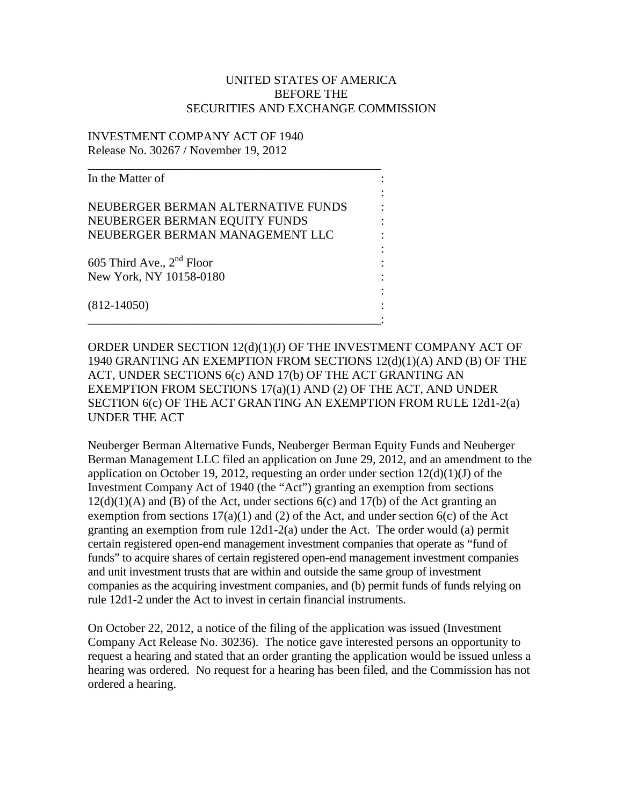## UNITED STATES OF AMERICA BEFORE THE SECURITIES AND EXCHANGE COMMISSION

## INVESTMENT COMPANY ACT OF 1940 Release No. 30267 / November 19, 2012

| In the Matter of                   |  |
|------------------------------------|--|
| NEUBERGER BERMAN ALTERNATIVE FUNDS |  |
| NEUBERGER BERMAN EQUITY FUNDS      |  |
| NEUBERGER BERMAN MANAGEMENT LLC    |  |
| 605 Third Ave., $2nd$ Floor        |  |
| New York, NY 10158-0180            |  |
|                                    |  |
| $(812-14050)$                      |  |

\_\_\_\_\_\_\_\_\_\_\_\_\_\_\_\_\_\_\_\_\_\_\_\_\_\_\_\_\_\_\_\_\_\_\_\_\_\_\_\_\_\_\_\_\_\_\_\_:

ORDER UNDER SECTION 12(d)(1)(J) OF THE INVESTMENT COMPANY ACT OF 1940 GRANTING AN EXEMPTION FROM SECTIONS 12(d)(1)(A) AND (B) OF THE ACT, UNDER SECTIONS 6(c) AND 17(b) OF THE ACT GRANTING AN EXEMPTION FROM SECTIONS 17(a)(1) AND (2) OF THE ACT, AND UNDER SECTION 6(c) OF THE ACT GRANTING AN EXEMPTION FROM RULE 12d1-2(a) UNDER THE ACT

Neuberger Berman Alternative Funds, Neuberger Berman Equity Funds and Neuberger Berman Management LLC filed an application on June 29, 2012, and an amendment to the application on October 19, 2012, requesting an order under section  $12(d)(1)(J)$  of the Investment Company Act of 1940 (the "Act") granting an exemption from sections  $12(d)(1)(A)$  and (B) of the Act, under sections  $6(c)$  and  $17(b)$  of the Act granting an exemption from sections  $17(a)(1)$  and (2) of the Act, and under section  $6(c)$  of the Act granting an exemption from rule 12d1-2(a) under the Act. The order would (a) permit certain registered open-end management investment companies that operate as "fund of funds" to acquire shares of certain registered open-end management investment companies and unit investment trusts that are within and outside the same group of investment companies as the acquiring investment companies, and (b) permit funds of funds relying on rule 12d1-2 under the Act to invest in certain financial instruments.

On October 22, 2012, a notice of the filing of the application was issued (Investment Company Act Release No. 30236). The notice gave interested persons an opportunity to request a hearing and stated that an order granting the application would be issued unless a hearing was ordered. No request for a hearing has been filed, and the Commission has not ordered a hearing.